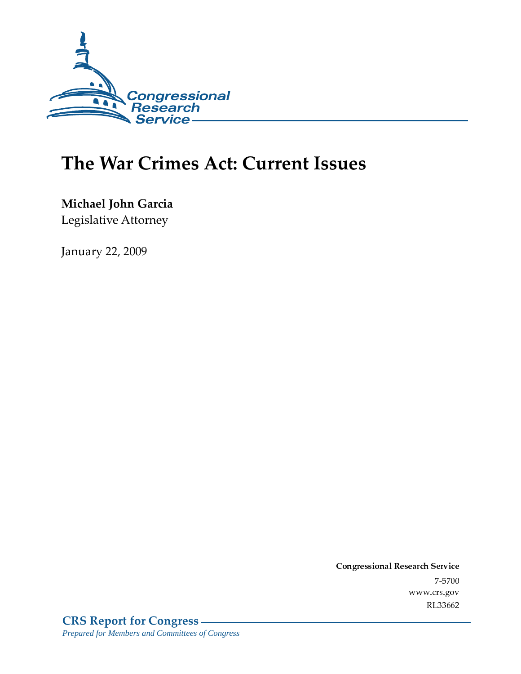

# The War Crimes Act: Current Issues

Michael John Garcia Legislative Attorney

**January 22, 2009** 

Conglessional Research Service  $7 - 2700$ www.crs.gov RL33662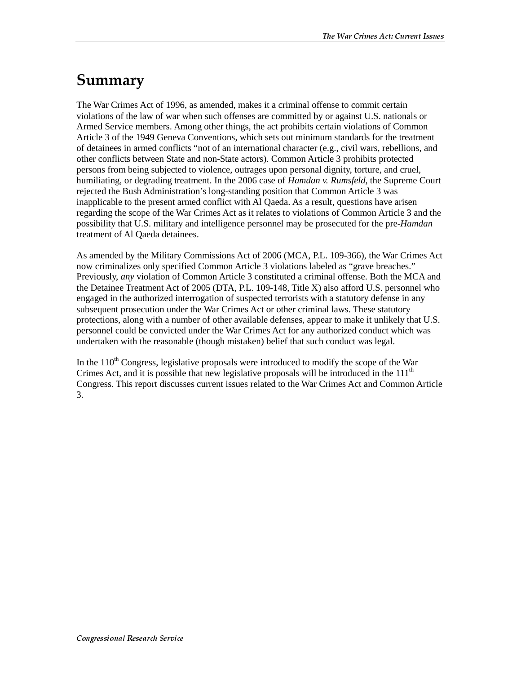## Summary

The War Crimes Act of 1996, as amended, makes it a criminal offense to commit certain violations of the law of war when such offenses are committed by or against U.S. nationals or Armed Service members. Among other things, the act prohibits certain violations of Common Article 3 of the 1949 Geneva Conventions, which sets out minimum standards for the treatment of detainees in armed conflicts "not of an international character (e.g., civil wars, rebellions, and other conflicts between State and non-State actors). Common Article 3 prohibits protected persons from being subjected to violence, outrages upon personal dignity, torture, and cruel, humiliating, or degrading treatment. In the 2006 case of *Hamdan v. Rumsfeld*, the Supreme Court rejected the Bush Administration's long-standing position that Common Article 3 was inapplicable to the present armed conflict with Al Qaeda. As a result, questions have arisen regarding the scope of the War Crimes Act as it relates to violations of Common Article 3 and the possibility that U.S. military and intelligence personnel may be prosecuted for the pre-*Hamdan* treatment of Al Qaeda detainees.

As amended by the Military Commissions Act of 2006 (MCA, P.L. 109-366), the War Crimes Act now criminalizes only specified Common Article 3 violations labeled as "grave breaches." Previously, *any* violation of Common Article 3 constituted a criminal offense. Both the MCA and the Detainee Treatment Act of 2005 (DTA, P.L. 109-148, Title X) also afford U.S. personnel who engaged in the authorized interrogation of suspected terrorists with a statutory defense in any subsequent prosecution under the War Crimes Act or other criminal laws. These statutory protections, along with a number of other available defenses, appear to make it unlikely that U.S. personnel could be convicted under the War Crimes Act for any authorized conduct which was undertaken with the reasonable (though mistaken) belief that such conduct was legal.

In the  $110<sup>th</sup>$  Congress, legislative proposals were introduced to modify the scope of the War Crimes Act, and it is possible that new legislative proposals will be introduced in the  $111<sup>th</sup>$ Congress. This report discusses current issues related to the War Crimes Act and Common Article 3.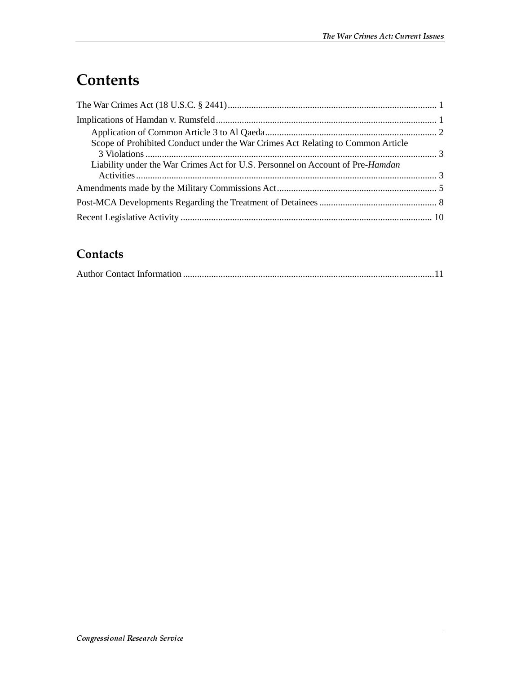# **Contents**

| Scope of Prohibited Conduct under the War Crimes Act Relating to Common Article        |  |
|----------------------------------------------------------------------------------------|--|
| Liability under the War Crimes Act for U.S. Personnel on Account of Pre- <i>Hamdan</i> |  |
|                                                                                        |  |
|                                                                                        |  |
|                                                                                        |  |

#### Contacts

|--|--|--|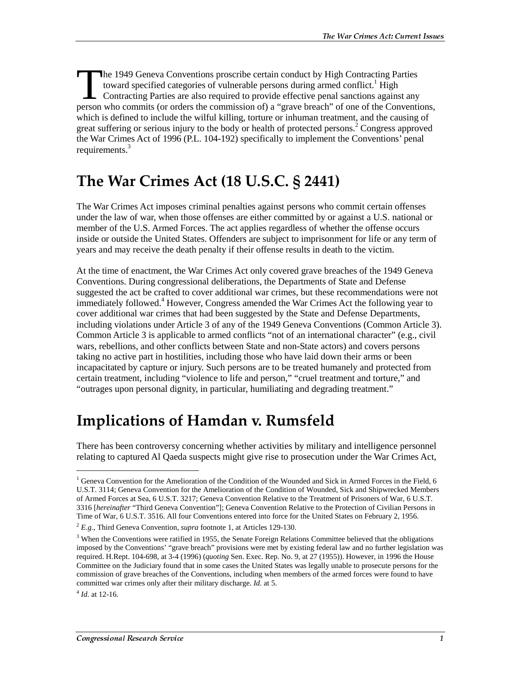he 1949 Geneva Conventions proscribe certain conduct by High Contracting Parties toward specified categories of vulnerable persons during armed conflict.<sup>1</sup> High Contracting Parties are also required to provide effective penal sanctions against any The 1949 Geneva Conventions proscribe certain conduct by High Contracting Parties<br>toward specified categories of vulnerable persons during armed conflict.<sup>1</sup> High<br>Contracting Parties are also required to provide effective which is defined to include the wilful killing, torture or inhuman treatment, and the causing of great suffering or serious injury to the body or health of protected persons.<sup>2</sup> Congress approved the War Crimes Act of 1996 (P.L. 104-192) specifically to implement the Conventions' penal requirements.<sup>3</sup>

### **The War Crimes Act (18 U.S.C. § 2441)**

The War Crimes Act imposes criminal penalties against persons who commit certain offenses under the law of war, when those offenses are either committed by or against a U.S. national or member of the U.S. Armed Forces. The act applies regardless of whether the offense occurs inside or outside the United States. Offenders are subject to imprisonment for life or any term of years and may receive the death penalty if their offense results in death to the victim.

At the time of enactment, the War Crimes Act only covered grave breaches of the 1949 Geneva Conventions. During congressional deliberations, the Departments of State and Defense suggested the act be crafted to cover additional war crimes, but these recommendations were not immediately followed.<sup>4</sup> However, Congress amended the War Crimes Act the following year to cover additional war crimes that had been suggested by the State and Defense Departments, including violations under Article 3 of any of the 1949 Geneva Conventions (Common Article 3). Common Article 3 is applicable to armed conflicts "not of an international character" (e.g., civil wars, rebellions, and other conflicts between State and non-State actors) and covers persons taking no active part in hostilities, including those who have laid down their arms or been incapacitated by capture or injury. Such persons are to be treated humanely and protected from certain treatment, including "violence to life and person," "cruel treatment and torture," and "outrages upon personal dignity, in particular, humiliating and degrading treatment."

### Implications of Hamdan v. Rumsfeld

There has been controversy concerning whether activities by military and intelligence personnel relating to captured Al Qaeda suspects might give rise to prosecution under the War Crimes Act,

<sup>&</sup>lt;sup>1</sup> Geneva Convention for the Amelioration of the Condition of the Wounded and Sick in Armed Forces in the Field, 6 U.S.T. 3114; Geneva Convention for the Amelioration of the Condition of Wounded, Sick and Shipwrecked Members of Armed Forces at Sea, 6 U.S.T. 3217; Geneva Convention Relative to the Treatment of Prisoners of War, 6 U.S.T. 3316 [*hereinafter* "Third Geneva Convention"]; Geneva Convention Relative to the Protection of Civilian Persons in Time of War, 6 U.S.T. 3516. All four Conventions entered into force for the United States on February 2, 1956.

<sup>2</sup> *E.g.,* Third Geneva Convention, *supra* footnote 1, at Articles 129-130.

<sup>&</sup>lt;sup>3</sup> When the Conventions were ratified in 1955, the Senate Foreign Relations Committee believed that the obligations imposed by the Conventions' "grave breach" provisions were met by existing federal law and no further legislation was required. H.Rept. 104-698, at 3-4 (1996) (*quoting* Sen. Exec. Rep. No. 9, at 27 (1955)). However, in 1996 the House Committee on the Judiciary found that in some cases the United States was legally unable to prosecute persons for the commission of grave breaches of the Conventions, including when members of the armed forces were found to have committed war crimes only after their military discharge. *Id.* at 5.

 $4$  *Id.* at 12-16.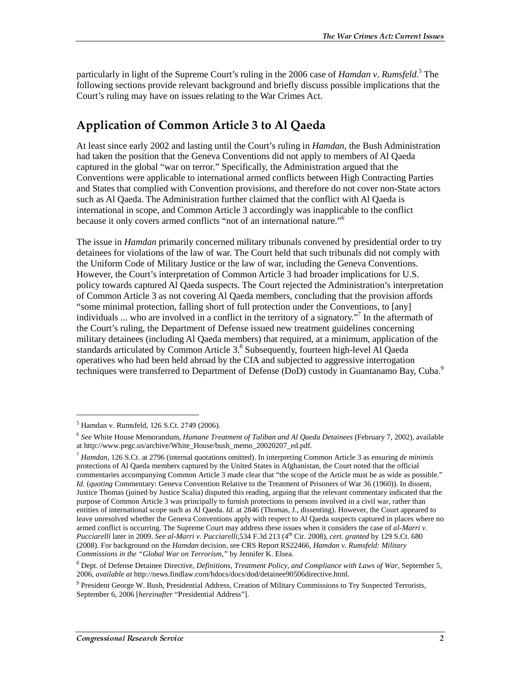particularly in light of the Supreme Court's ruling in the 2006 case of *Hamdan v*. *Rumsfeld*. 5 The following sections provide relevant background and briefly discuss possible implications that the Court's ruling may have on issues relating to the War Crimes Act.

#### Application of Common Article 3 to Al Qaeda

At least since early 2002 and lasting until the Court's ruling in *Hamdan*, the Bush Administration had taken the position that the Geneva Conventions did not apply to members of Al Qaeda captured in the global "war on terror." Specifically, the Administration argued that the Conventions were applicable to international armed conflicts between High Contracting Parties and States that complied with Convention provisions, and therefore do not cover non-State actors such as Al Qaeda. The Administration further claimed that the conflict with Al Qaeda is international in scope, and Common Article 3 accordingly was inapplicable to the conflict because it only covers armed conflicts "not of an international nature."6

The issue in *Hamdan* primarily concerned military tribunals convened by presidential order to try detainees for violations of the law of war. The Court held that such tribunals did not comply with the Uniform Code of Military Justice or the law of war, including the Geneva Conventions. However, the Court's interpretation of Common Article 3 had broader implications for U.S. policy towards captured Al Qaeda suspects. The Court rejected the Administration's interpretation of Common Article 3 as not covering Al Qaeda members, concluding that the provision affords "some minimal protection, falling short of full protection under the Conventions, to [any] individuals ... who are involved in a conflict in the territory of a signatory."7 In the aftermath of the Court's ruling, the Department of Defense issued new treatment guidelines concerning military detainees (including Al Qaeda members) that required, at a minimum, application of the standards articulated by Common Article 3.8 Subsequently, fourteen high-level Al Qaeda operatives who had been held abroad by the CIA and subjected to aggressive interrogation techniques were transferred to Department of Defense (DoD) custody in Guantanamo Bay, Cuba.<sup>9</sup>

 $\overline{a}$ 

<sup>5</sup> Hamdan v. Rumsfeld, 126 S.Ct. 2749 (2006).

<sup>6</sup> *See* White House Memorandum, *Humane Treatment of Taliban and Al Qaeda Detainees* (February 7, 2002), available at http://www.pegc.us/archive/White\_House/bush\_memo\_20020207\_ed.pdf.

<sup>7</sup> *Hamdan*, 126 S.Ct. at 2796 (internal quotations omitted). In interpreting Common Article 3 as ensuring *de minimis* protections of Al Qaeda members captured by the United States in Afghanistan, the Court noted that the official commentaries accompanying Common Article 3 made clear that "the scope of the Article must be as wide as possible." *Id.* (*quoting* Commentary: Geneva Convention Relative to the Treatment of Prisoners of War 36 (1960)). In dissent, Justice Thomas (joined by Justice Scalia) disputed this reading, arguing that the relevant commentary indicated that the purpose of Common Article 3 was principally to furnish protections to persons involved in a civil war, rather than entities of international scope such as Al Qaeda. *Id.* at 2846 (Thomas, J., dissenting). However, the Court appeared to leave unresolved whether the Geneva Conventions apply with respect to Al Qaeda suspects captured in places where no armed conflict is occurring. The Supreme Court may address these issues when it considers the case of *al-Marri v. Pucciarelli* later in 2009. *See al-Marri v. Pucciarelli*,534 F.3d 213 (4th Cir. 2008), *cert. granted* by 129 S.Ct. 680 (2008). For background on the *Hamdan* decision, see CRS Report RS22466, *Hamdan v. Rumsfeld: Military Commissions in the "Global War on Terrorism,"* by Jennifer K. Elsea.

<sup>8</sup> Dept. of Defense Detainee Directive, *Definitions, Treatment Policy, and Compliance with Laws of War*, September 5, 2006, *available at* http://news.findlaw.com/hdocs/docs/dod/detainee90506directive.html.

<sup>&</sup>lt;sup>9</sup> President George W. Bush, Presidential Address, Creation of Military Commissions to Try Suspected Terrorists, September 6, 2006 [*hereinafter* "Presidential Address"].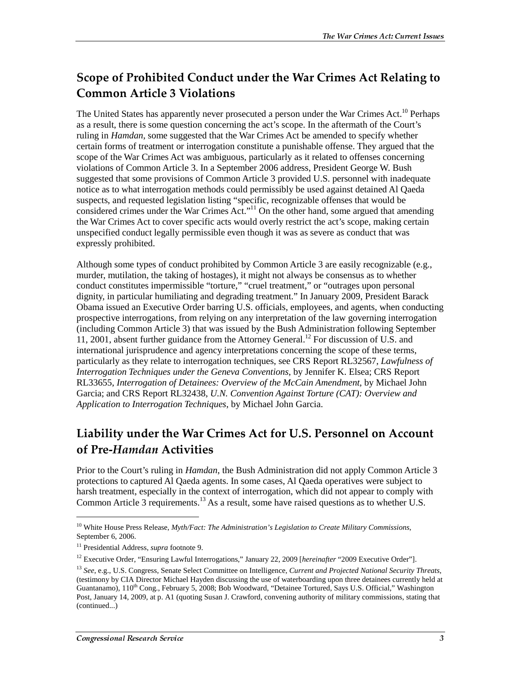#### Scope of Prohibited Conduct under the War Crimes Act Relating to **Common Article 3 Violations**

The United States has apparently never prosecuted a person under the War Crimes Act.<sup>10</sup> Perhaps as a result, there is some question concerning the act's scope. In the aftermath of the Court's ruling in *Hamdan*, some suggested that the War Crimes Act be amended to specify whether certain forms of treatment or interrogation constitute a punishable offense. They argued that the scope of the War Crimes Act was ambiguous, particularly as it related to offenses concerning violations of Common Article 3. In a September 2006 address, President George W. Bush suggested that some provisions of Common Article 3 provided U.S. personnel with inadequate notice as to what interrogation methods could permissibly be used against detained Al Qaeda suspects, and requested legislation listing "specific, recognizable offenses that would be considered crimes under the War Crimes Act."11 On the other hand, some argued that amending the War Crimes Act to cover specific acts would overly restrict the act's scope, making certain unspecified conduct legally permissible even though it was as severe as conduct that was expressly prohibited.

Although some types of conduct prohibited by Common Article 3 are easily recognizable (e.g., murder, mutilation, the taking of hostages), it might not always be consensus as to whether conduct constitutes impermissible "torture," "cruel treatment," or "outrages upon personal dignity, in particular humiliating and degrading treatment." In January 2009, President Barack Obama issued an Executive Order barring U.S. officials, employees, and agents, when conducting prospective interrogations, from relying on any interpretation of the law governing interrogation (including Common Article 3) that was issued by the Bush Administration following September 11, 2001, absent further guidance from the Attorney General.12 For discussion of U.S. and international jurisprudence and agency interpretations concerning the scope of these terms, particularly as they relate to interrogation techniques, see CRS Report RL32567, *Lawfulness of Interrogation Techniques under the Geneva Conventions*, by Jennifer K. Elsea; CRS Report RL33655, *Interrogation of Detainees: Overview of the McCain Amendment*, by Michael John Garcia; and CRS Report RL32438, *U.N. Convention Against Torture (CAT): Overview and Application to Interrogation Techniques*, by Michael John Garcia.

#### Liability under the War Crimes Act for U.S. Personnel on Account of Pre-Hamdan Activities

Prior to the Court's ruling in *Hamdan*, the Bush Administration did not apply Common Article 3 protections to captured Al Qaeda agents. In some cases, Al Qaeda operatives were subject to harsh treatment, especially in the context of interrogation, which did not appear to comply with Common Article 3 requirements.<sup>13</sup> As a result, some have raised questions as to whether U.S.

<sup>10</sup> White House Press Release, *Myth/Fact: The Administration's Legislation to Create Military Commissions*, September 6, 2006.

<sup>11</sup> Presidential Address, *supra* footnote 9.

<sup>12</sup> Executive Order, "Ensuring Lawful Interrogations," January 22, 2009 [*hereinafter* "2009 Executive Order"].

<sup>13</sup> *See*, e.g., U.S. Congress, Senate Select Committee on Intelligence, *Current and Projected National Security Threats*, (testimony by CIA Director Michael Hayden discussing the use of waterboarding upon three detainees currently held at Guantanamo), 110<sup>th</sup> Cong., February 5, 2008; Bob Woodward, "Detainee Tortured, Says U.S. Official," Washington Post, January 14, 2009, at p. A1 (quoting Susan J. Crawford, convening authority of military commissions, stating that (continued...)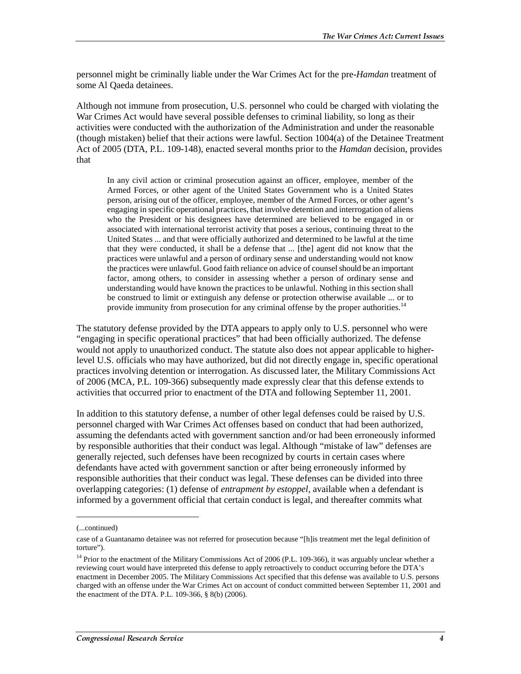personnel might be criminally liable under the War Crimes Act for the pre-*Hamdan* treatment of some Al Qaeda detainees.

Although not immune from prosecution, U.S. personnel who could be charged with violating the War Crimes Act would have several possible defenses to criminal liability, so long as their activities were conducted with the authorization of the Administration and under the reasonable (though mistaken) belief that their actions were lawful. Section 1004(a) of the Detainee Treatment Act of 2005 (DTA, P.L. 109-148), enacted several months prior to the *Hamdan* decision, provides that

In any civil action or criminal prosecution against an officer, employee, member of the Armed Forces, or other agent of the United States Government who is a United States person, arising out of the officer, employee, member of the Armed Forces, or other agent's engaging in specific operational practices, that involve detention and interrogation of aliens who the President or his designees have determined are believed to be engaged in or associated with international terrorist activity that poses a serious, continuing threat to the United States ... and that were officially authorized and determined to be lawful at the time that they were conducted, it shall be a defense that ... [the] agent did not know that the practices were unlawful and a person of ordinary sense and understanding would not know the practices were unlawful. Good faith reliance on advice of counsel should be an important factor, among others, to consider in assessing whether a person of ordinary sense and understanding would have known the practices to be unlawful. Nothing in this section shall be construed to limit or extinguish any defense or protection otherwise available ... or to provide immunity from prosecution for any criminal offense by the proper authorities.<sup>14</sup>

The statutory defense provided by the DTA appears to apply only to U.S. personnel who were "engaging in specific operational practices" that had been officially authorized. The defense would not apply to unauthorized conduct. The statute also does not appear applicable to higherlevel U.S. officials who may have authorized, but did not directly engage in, specific operational practices involving detention or interrogation. As discussed later, the Military Commissions Act of 2006 (MCA, P.L. 109-366) subsequently made expressly clear that this defense extends to activities that occurred prior to enactment of the DTA and following September 11, 2001.

In addition to this statutory defense, a number of other legal defenses could be raised by U.S. personnel charged with War Crimes Act offenses based on conduct that had been authorized, assuming the defendants acted with government sanction and/or had been erroneously informed by responsible authorities that their conduct was legal. Although "mistake of law" defenses are generally rejected, such defenses have been recognized by courts in certain cases where defendants have acted with government sanction or after being erroneously informed by responsible authorities that their conduct was legal. These defenses can be divided into three overlapping categories: (1) defense of *entrapment by estoppel*, available when a defendant is informed by a government official that certain conduct is legal, and thereafter commits what

<sup>(...</sup>continued)

case of a Guantanamo detainee was not referred for prosecution because "[h]is treatment met the legal definition of torture").

<sup>&</sup>lt;sup>14</sup> Prior to the enactment of the Military Commissions Act of 2006 (P.L. 109-366), it was arguably unclear whether a reviewing court would have interpreted this defense to apply retroactively to conduct occurring before the DTA's enactment in December 2005. The Military Commissions Act specified that this defense was available to U.S. persons charged with an offense under the War Crimes Act on account of conduct committed between September 11, 2001 and the enactment of the DTA. P.L. 109-366, § 8(b) (2006).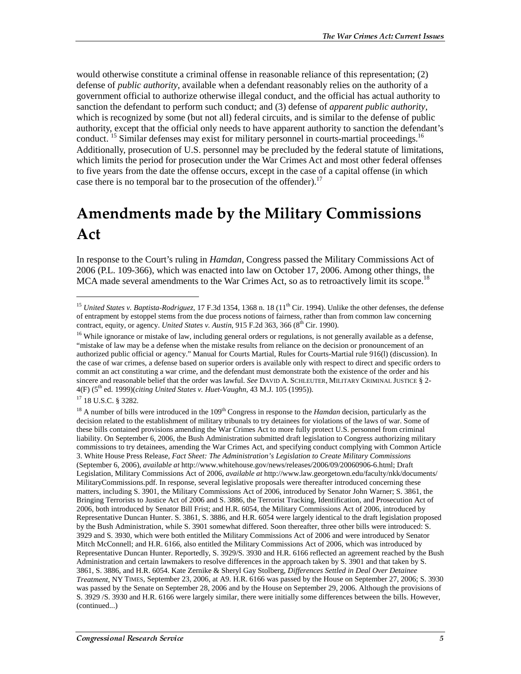would otherwise constitute a criminal offense in reasonable reliance of this representation; (2) defense of *public authority*, available when a defendant reasonably relies on the authority of a government official to authorize otherwise illegal conduct, and the official has actual authority to sanction the defendant to perform such conduct; and (3) defense of *apparent public authority*, which is recognized by some (but not all) federal circuits, and is similar to the defense of public authority, except that the official only needs to have apparent authority to sanction the defendant's conduct. <sup>15</sup> Similar defenses may exist for military personnel in courts-martial proceedings.<sup>16</sup> Additionally, prosecution of U.S. personnel may be precluded by the federal statute of limitations, which limits the period for prosecution under the War Crimes Act and most other federal offenses to five years from the date the offense occurs, except in the case of a capital offense (in which case there is no temporal bar to the prosecution of the offender).<sup>17</sup>

## Amendments made by the Military Commissions Act

In response to the Court's ruling in *Hamdan*, Congress passed the Military Commissions Act of 2006 (P.L. 109-366), which was enacted into law on October 17, 2006. Among other things, the MCA made several amendments to the War Crimes Act, so as to retroactively limit its scope.<sup>18</sup>

 $\overline{a}$ 

<sup>&</sup>lt;sup>15</sup> *United States v. Baptista-Rodriguez*, 17 F.3d 1354, 1368 n. 18 (11<sup>th</sup> Cir. 1994). Unlike the other defenses, the defense of entrapment by estoppel stems from the due process notions of fairness, rather than from common law concerning contract, equity, or agency. *United States v. Austin*, 915 F.2d 363, 366 ( $8<sup>th</sup>$  Cir. 1990).

<sup>&</sup>lt;sup>16</sup> While ignorance or mistake of law, including general orders or regulations, is not generally available as a defense, "mistake of law may be a defense when the mistake results from reliance on the decision or pronouncement of an authorized public official or agency." Manual for Courts Martial, Rules for Courts-Martial rule 916(l) (discussion). In the case of war crimes, a defense based on superior orders is available only with respect to direct and specific orders to commit an act constituting a war crime, and the defendant must demonstrate both the existence of the order and his sincere and reasonable belief that the order was lawful. *See* DAVID A. SCHLEUTER, MILITARY CRIMINAL JUSTICE § 2- 4(F) (5th ed. 1999)(*citing United States v. Huet-Vaughn*, 43 M.J. 105 (1995)).

<sup>17 18</sup> U.S.C. § 3282.

 $18$  A number of bills were introduced in the  $109<sup>th</sup>$  Congress in response to the *Hamdan* decision, particularly as the decision related to the establishment of military tribunals to try detainees for violations of the laws of war. Some of these bills contained provisions amending the War Crimes Act to more fully protect U.S. personnel from criminal liability. On September 6, 2006, the Bush Administration submitted draft legislation to Congress authorizing military commissions to try detainees, amending the War Crimes Act, and specifying conduct complying with Common Article 3. White House Press Release, *Fact Sheet: The Administration's Legislation to Create Military Commissions* (September 6, 2006), *available at* http://www.whitehouse.gov/news/releases/2006/09/20060906-6.html; Draft Legislation, Military Commissions Act of 2006, *available at* http://www.law.georgetown.edu/faculty/nkk/documents/ MilitaryCommissions.pdf. In response, several legislative proposals were thereafter introduced concerning these matters, including S. 3901, the Military Commissions Act of 2006, introduced by Senator John Warner; S. 3861, the Bringing Terrorists to Justice Act of 2006 and S. 3886, the Terrorist Tracking, Identification, and Prosecution Act of 2006, both introduced by Senator Bill Frist; and H.R. 6054, the Military Commissions Act of 2006, introduced by Representative Duncan Hunter. S. 3861, S. 3886, and H.R. 6054 were largely identical to the draft legislation proposed by the Bush Administration, while S. 3901 somewhat differed. Soon thereafter, three other bills were introduced: S. 3929 and S. 3930, which were both entitled the Military Commissions Act of 2006 and were introduced by Senator Mitch McConnell; and H.R. 6166, also entitled the Military Commissions Act of 2006, which was introduced by Representative Duncan Hunter. Reportedly, S. 3929/S. 3930 and H.R. 6166 reflected an agreement reached by the Bush Administration and certain lawmakers to resolve differences in the approach taken by S. 3901 and that taken by S. 3861, S. 3886, and H.R. 6054. Kate Zernike & Sheryl Gay Stolberg, *Differences Settled in Deal Over Detainee Treatment*, NY TIMES, September 23, 2006, at A9. H.R. 6166 was passed by the House on September 27, 2006; S. 3930 was passed by the Senate on September 28, 2006 and by the House on September 29, 2006. Although the provisions of S. 3929 /S. 3930 and H.R. 6166 were largely similar, there were initially some differences between the bills. However, (continued...)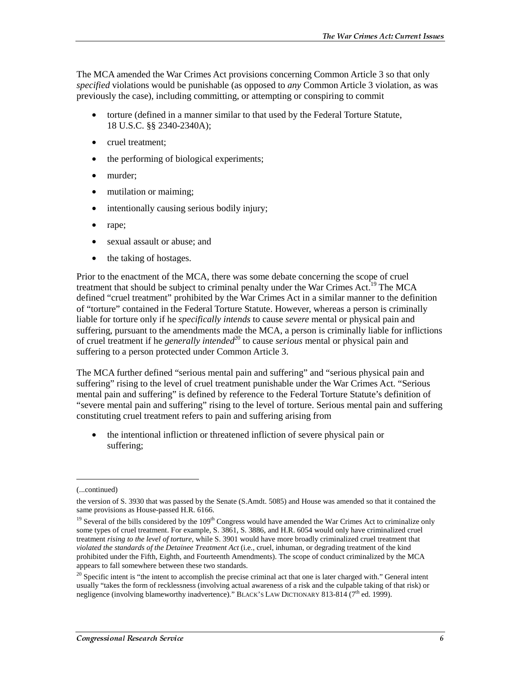The MCA amended the War Crimes Act provisions concerning Common Article 3 so that only *specified* violations would be punishable (as opposed to *any* Common Article 3 violation, as was previously the case), including committing, or attempting or conspiring to commit

- torture (defined in a manner similar to that used by the Federal Torture Statute, 18 U.S.C. §§ 2340-2340A);
- cruel treatment;
- the performing of biological experiments;
- murder;
- mutilation or maiming;
- intentionally causing serious bodily injury;
- rape;
- sexual assault or abuse; and
- the taking of hostages.

Prior to the enactment of the MCA, there was some debate concerning the scope of cruel treatment that should be subject to criminal penalty under the War Crimes  $Act.^{19}$  The MCA defined "cruel treatment" prohibited by the War Crimes Act in a similar manner to the definition of "torture" contained in the Federal Torture Statute. However, whereas a person is criminally liable for torture only if he *specifically intends* to cause *severe* mental or physical pain and suffering, pursuant to the amendments made the MCA, a person is criminally liable for inflictions of cruel treatment if he *generally intended*<sup>20</sup> to cause *serious* mental or physical pain and suffering to a person protected under Common Article 3.

The MCA further defined "serious mental pain and suffering" and "serious physical pain and suffering" rising to the level of cruel treatment punishable under the War Crimes Act. "Serious mental pain and suffering" is defined by reference to the Federal Torture Statute's definition of "severe mental pain and suffering" rising to the level of torture. Serious mental pain and suffering constituting cruel treatment refers to pain and suffering arising from

• the intentional infliction or threatened infliction of severe physical pain or suffering;

<sup>(...</sup>continued)

the version of S. 3930 that was passed by the Senate (S.Amdt. 5085) and House was amended so that it contained the same provisions as House-passed H.R. 6166.

 $19$  Several of the bills considered by the  $109<sup>th</sup>$  Congress would have amended the War Crimes Act to criminalize only some types of cruel treatment. For example, S. 3861, S. 3886, and H.R. 6054 would only have criminalized cruel treatment *rising to the level of torture*, while S. 3901 would have more broadly criminalized cruel treatment that *violated the standards of the Detainee Treatment Act* (i.e., cruel, inhuman, or degrading treatment of the kind prohibited under the Fifth, Eighth, and Fourteenth Amendments). The scope of conduct criminalized by the MCA appears to fall somewhere between these two standards.

<sup>&</sup>lt;sup>20</sup> Specific intent is "the intent to accomplish the precise criminal act that one is later charged with." General intent usually "takes the form of recklessness (involving actual awareness of a risk and the culpable taking of that risk) or negligence (involving blameworthy inadvertence)." BLACK's LAW DICTIONARY 813-814 ( $7<sup>th</sup>$  ed. 1999).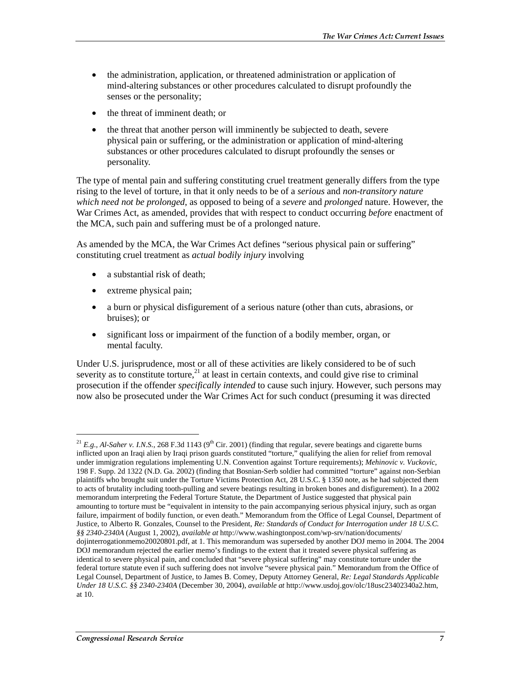- the administration, application, or threatened administration or application of mind-altering substances or other procedures calculated to disrupt profoundly the senses or the personality;
- the threat of imminent death; or
- the threat that another person will imminently be subjected to death, severe physical pain or suffering, or the administration or application of mind-altering substances or other procedures calculated to disrupt profoundly the senses or personality.

The type of mental pain and suffering constituting cruel treatment generally differs from the type rising to the level of torture, in that it only needs to be of a *serious* and *non-transitory nature which need not be prolonged*, as opposed to being of a *severe* and *prolonged* nature. However, the War Crimes Act, as amended, provides that with respect to conduct occurring *before* enactment of the MCA, such pain and suffering must be of a prolonged nature.

As amended by the MCA, the War Crimes Act defines "serious physical pain or suffering" constituting cruel treatment as *actual bodily injury* involving

- a substantial risk of death:
- extreme physical pain;

j

- a burn or physical disfigurement of a serious nature (other than cuts, abrasions, or bruises); or
- significant loss or impairment of the function of a bodily member, organ, or mental faculty.

Under U.S. jurisprudence, most or all of these activities are likely considered to be of such severity as to constitute torture,<sup>21</sup> at least in certain contexts, and could give rise to criminal prosecution if the offender *specifically intended* to cause such injury. However, such persons may now also be prosecuted under the War Crimes Act for such conduct (presuming it was directed

<sup>&</sup>lt;sup>21</sup> *E.g., Al-Saher v. I.N.S.*, 268 F.3d 1143 (9<sup>th</sup> Cir. 2001) (finding that regular, severe beatings and cigarette burns inflicted upon an Iraqi alien by Iraqi prison guards constituted "torture," qualifying the alien for relief from removal under immigration regulations implementing U.N. Convention against Torture requirements); *Mehinovic v. Vuckovic*, 198 F. Supp. 2d 1322 (N.D. Ga. 2002) (finding that Bosnian-Serb soldier had committed "torture" against non-Serbian plaintiffs who brought suit under the Torture Victims Protection Act, 28 U.S.C. § 1350 note, as he had subjected them to acts of brutality including tooth-pulling and severe beatings resulting in broken bones and disfigurement). In a 2002 memorandum interpreting the Federal Torture Statute, the Department of Justice suggested that physical pain amounting to torture must be "equivalent in intensity to the pain accompanying serious physical injury, such as organ failure, impairment of bodily function, or even death." Memorandum from the Office of Legal Counsel, Department of Justice, to Alberto R. Gonzales, Counsel to the President, *Re: Standards of Conduct for Interrogation under 18 U.S.C. §§ 2340-2340A* (August 1, 2002), *available at* http://www.washingtonpost.com/wp-srv/nation/documents/ dojinterrogationmemo20020801.pdf, at 1. This memorandum was superseded by another DOJ memo in 2004. The 2004 DOJ memorandum rejected the earlier memo's findings to the extent that it treated severe physical suffering as identical to severe physical pain, and concluded that "severe physical suffering" may constitute torture under the federal torture statute even if such suffering does not involve "severe physical pain." Memorandum from the Office of Legal Counsel, Department of Justice, to James B. Comey, Deputy Attorney General, *Re: Legal Standards Applicable Under 18 U.S.C. §§ 2340-2340A* (December 30, 2004), *available at* http://www.usdoj.gov/olc/18usc23402340a2.htm, at 10.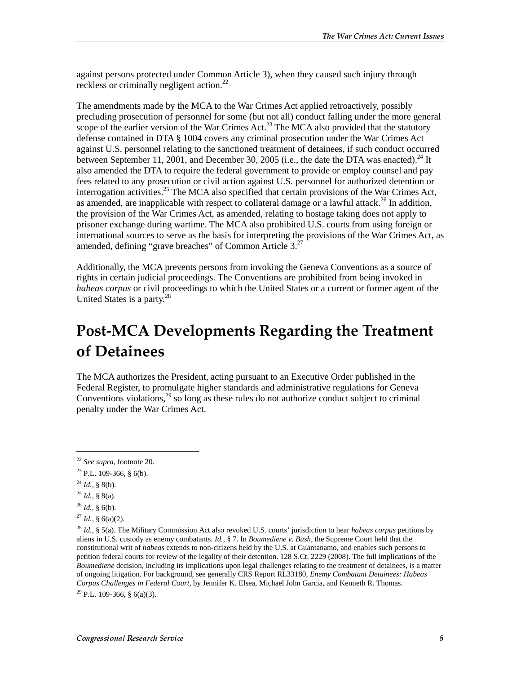against persons protected under Common Article 3), when they caused such injury through reckless or criminally negligent action.22

The amendments made by the MCA to the War Crimes Act applied retroactively, possibly precluding prosecution of personnel for some (but not all) conduct falling under the more general scope of the earlier version of the War Crimes  $Act^{23}$  The MCA also provided that the statutory defense contained in DTA § 1004 covers any criminal prosecution under the War Crimes Act against U.S. personnel relating to the sanctioned treatment of detainees, if such conduct occurred between September 11, 2001, and December 30, 2005 (i.e., the date the DTA was enacted).<sup>24</sup> It also amended the DTA to require the federal government to provide or employ counsel and pay fees related to any prosecution or civil action against U.S. personnel for authorized detention or interrogation activities.<sup>25</sup> The MCA also specified that certain provisions of the War Crimes Act, as amended, are inapplicable with respect to collateral damage or a lawful attack.<sup>26</sup> In addition, the provision of the War Crimes Act, as amended, relating to hostage taking does not apply to prisoner exchange during wartime. The MCA also prohibited U.S. courts from using foreign or international sources to serve as the basis for interpreting the provisions of the War Crimes Act, as amended, defining "grave breaches" of Common Article  $3.^{27}$ 

Additionally, the MCA prevents persons from invoking the Geneva Conventions as a source of rights in certain judicial proceedings. The Conventions are prohibited from being invoked in *habeas corpus* or civil proceedings to which the United States or a current or former agent of the United States is a party.<sup>28</sup>

# Post-MCA Developments Regarding the Treatment of Detainees

The MCA authorizes the President, acting pursuant to an Executive Order published in the Federal Register, to promulgate higher standards and administrative regulations for Geneva Conventions violations,  $^{29}$  so long as these rules do not authorize conduct subject to criminal penalty under the War Crimes Act.

 $\overline{a}$ 

 $^{29}$  P.L. 109-366, § 6(a)(3).

<sup>22</sup> *See supra*, footnote 20.

 $23$  P.L. 109-366, § 6(b).

 $^{24}$  *Id.*, § 8(b).

 $^{25}$  *Id.*, § 8(a).

 $^{26}$  *Id.*, § 6(b).

 $^{27}$  *Id.*, § 6(a)(2).

<sup>28</sup> *Id.*, § 5(a). The Military Commission Act also revoked U.S. courts' jurisdiction to hear *habeas corpus* petitions by aliens in U.S. custody as enemy combatants. *Id.*, § 7. In *Boumediene v. Bush*, the Supreme Court held that the constitutional writ of *habeas* extends to non-citizens held by the U.S. at Guantanamo, and enables such persons to petition federal courts for review of the legality of their detention. 128 S.Ct. 2229 (2008). The full implications of the *Boumediene* decision, including its implications upon legal challenges relating to the treatment of detainees, is a matter of ongoing litigation. For background, see generally CRS Report RL33180, *Enemy Combatant Detainees: Habeas Corpus Challenges in Federal Court*, by Jennifer K. Elsea, Michael John Garcia, and Kenneth R. Thomas.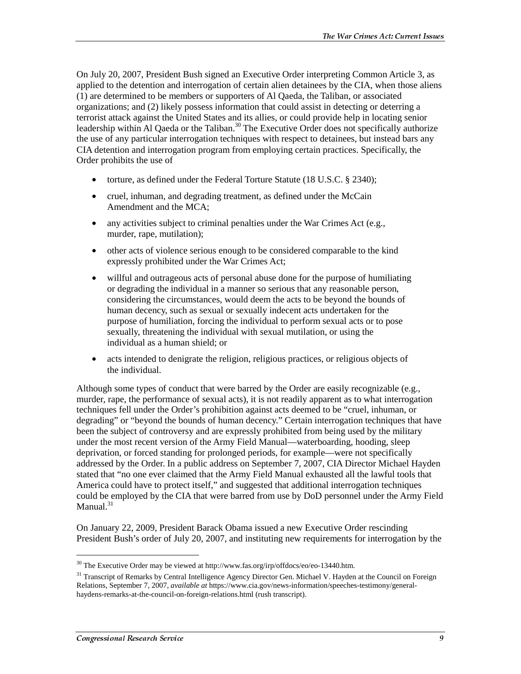On July 20, 2007, President Bush signed an Executive Order interpreting Common Article 3, as applied to the detention and interrogation of certain alien detainees by the CIA, when those aliens (1) are determined to be members or supporters of Al Qaeda, the Taliban, or associated organizations; and (2) likely possess information that could assist in detecting or deterring a terrorist attack against the United States and its allies, or could provide help in locating senior leadership within Al Qaeda or the Taliban.<sup>30</sup> The Executive Order does not specifically authorize the use of any particular interrogation techniques with respect to detainees, but instead bars any CIA detention and interrogation program from employing certain practices. Specifically, the Order prohibits the use of

- torture, as defined under the Federal Torture Statute (18 U.S.C. § 2340);
- cruel, inhuman, and degrading treatment, as defined under the McCain Amendment and the MCA;
- any activities subject to criminal penalties under the War Crimes Act (e.g., murder, rape, mutilation);
- other acts of violence serious enough to be considered comparable to the kind expressly prohibited under the War Crimes Act;
- willful and outrageous acts of personal abuse done for the purpose of humiliating or degrading the individual in a manner so serious that any reasonable person, considering the circumstances, would deem the acts to be beyond the bounds of human decency, such as sexual or sexually indecent acts undertaken for the purpose of humiliation, forcing the individual to perform sexual acts or to pose sexually, threatening the individual with sexual mutilation, or using the individual as a human shield; or
- acts intended to denigrate the religion, religious practices, or religious objects of the individual.

Although some types of conduct that were barred by the Order are easily recognizable (e.g., murder, rape, the performance of sexual acts), it is not readily apparent as to what interrogation techniques fell under the Order's prohibition against acts deemed to be "cruel, inhuman, or degrading" or "beyond the bounds of human decency." Certain interrogation techniques that have been the subject of controversy and are expressly prohibited from being used by the military under the most recent version of the Army Field Manual—waterboarding, hooding, sleep deprivation, or forced standing for prolonged periods, for example—were not specifically addressed by the Order. In a public address on September 7, 2007, CIA Director Michael Hayden stated that "no one ever claimed that the Army Field Manual exhausted all the lawful tools that America could have to protect itself," and suggested that additional interrogation techniques could be employed by the CIA that were barred from use by DoD personnel under the Army Field Manual. $31$ 

On January 22, 2009, President Barack Obama issued a new Executive Order rescinding President Bush's order of July 20, 2007, and instituting new requirements for interrogation by the

<sup>30</sup> The Executive Order may be viewed at http://www.fas.org/irp/offdocs/eo/eo-13440.htm.

<sup>&</sup>lt;sup>31</sup> Transcript of Remarks by Central Intelligence Agency Director Gen. Michael V. Hayden at the Council on Foreign Relations, September 7, 2007, *available at* https://www.cia.gov/news-information/speeches-testimony/generalhaydens-remarks-at-the-council-on-foreign-relations.html (rush transcript).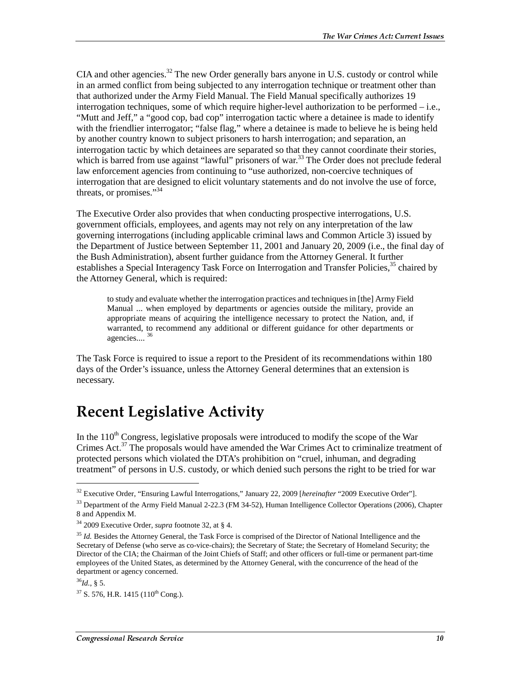CIA and other agencies.<sup>32</sup> The new Order generally bars anyone in U.S. custody or control while in an armed conflict from being subjected to any interrogation technique or treatment other than that authorized under the Army Field Manual. The Field Manual specifically authorizes 19 interrogation techniques, some of which require higher-level authorization to be performed – i.e., "Mutt and Jeff," a "good cop, bad cop" interrogation tactic where a detainee is made to identify with the friendlier interrogator; "false flag," where a detainee is made to believe he is being held by another country known to subject prisoners to harsh interrogation; and separation, an interrogation tactic by which detainees are separated so that they cannot coordinate their stories, which is barred from use against "lawful" prisoners of war.<sup>33</sup> The Order does not preclude federal law enforcement agencies from continuing to "use authorized, non-coercive techniques of interrogation that are designed to elicit voluntary statements and do not involve the use of force, threats, or promises."34

The Executive Order also provides that when conducting prospective interrogations, U.S. government officials, employees, and agents may not rely on any interpretation of the law governing interrogations (including applicable criminal laws and Common Article 3) issued by the Department of Justice between September 11, 2001 and January 20, 2009 (i.e., the final day of the Bush Administration), absent further guidance from the Attorney General. It further establishes a Special Interagency Task Force on Interrogation and Transfer Policies,<sup>35</sup> chaired by the Attorney General, which is required:

to study and evaluate whether the interrogation practices and techniques in [the] Army Field Manual ... when employed by departments or agencies outside the military, provide an appropriate means of acquiring the intelligence necessary to protect the Nation, and, if warranted, to recommend any additional or different guidance for other departments or agencies.... <sup>36</sup>

The Task Force is required to issue a report to the President of its recommendations within 180 days of the Order's issuance, unless the Attorney General determines that an extension is necessary.

### **Recent Legislative Activity**

In the  $110<sup>th</sup>$  Congress, legislative proposals were introduced to modify the scope of the War Crimes Act.37 The proposals would have amended the War Crimes Act to criminalize treatment of protected persons which violated the DTA's prohibition on "cruel, inhuman, and degrading treatment" of persons in U.S. custody, or which denied such persons the right to be tried for war

 $\overline{a}$ 

<sup>32</sup> Executive Order, "Ensuring Lawful Interrogations," January 22, 2009 [*hereinafter* "2009 Executive Order"].

<sup>&</sup>lt;sup>33</sup> Department of the Army Field Manual 2-22.3 (FM 34-52), Human Intelligence Collector Operations (2006), Chapter 8 and Appendix M.

<sup>34 2009</sup> Executive Order, *supra* footnote 32, at § 4.

<sup>35</sup> *Id.* Besides the Attorney General, the Task Force is comprised of the Director of National Intelligence and the Secretary of Defense (who serve as co-vice-chairs); the Secretary of State; the Secretary of Homeland Security; the Director of the CIA; the Chairman of the Joint Chiefs of Staff; and other officers or full-time or permanent part-time employees of the United States, as determined by the Attorney General, with the concurrence of the head of the department or agency concerned.

 $^{36}Id_{16}$ , § 5.

 $37$  S. 576, H.R. 1415 (110<sup>th</sup> Cong.).